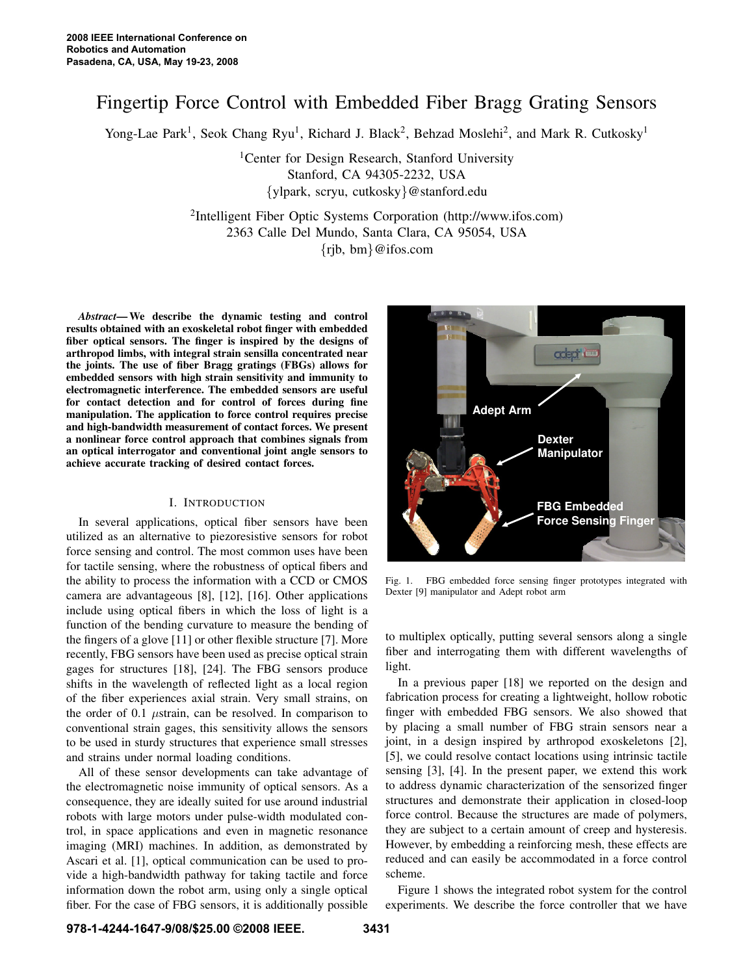# Fingertip Force Control with Embedded Fiber Bragg Grating Sensors

Yong-Lae Park<sup>1</sup>, Seok Chang Ryu<sup>1</sup>, Richard J. Black<sup>2</sup>, Behzad Moslehi<sup>2</sup>, and Mark R. Cutkosky<sup>1</sup>

<sup>1</sup>Center for Design Research, Stanford University Stanford, CA 94305-2232, USA {ylpark, scryu, cutkosky}@stanford.edu

2 Intelligent Fiber Optic Systems Corporation (http://www.ifos.com) 2363 Calle Del Mundo, Santa Clara, CA 95054, USA {rjb, bm}@ifos.com

*Abstract*— We describe the dynamic testing and control results obtained with an exoskeletal robot finger with embedded fiber optical sensors. The finger is inspired by the designs of arthropod limbs, with integral strain sensilla concentrated near the joints. The use of fiber Bragg gratings (FBGs) allows for embedded sensors with high strain sensitivity and immunity to electromagnetic interference. The embedded sensors are useful for contact detection and for control of forces during fine manipulation. The application to force control requires precise and high-bandwidth measurement of contact forces. We present a nonlinear force control approach that combines signals from an optical interrogator and conventional joint angle sensors to achieve accurate tracking of desired contact forces.

## I. INTRODUCTION

In several applications, optical fiber sensors have been utilized as an alternative to piezoresistive sensors for robot force sensing and control. The most common uses have been for tactile sensing, where the robustness of optical fibers and the ability to process the information with a CCD or CMOS camera are advantageous [8], [12], [16]. Other applications include using optical fibers in which the loss of light is a function of the bending curvature to measure the bending of the fingers of a glove [11] or other flexible structure [7]. More recently, FBG sensors have been used as precise optical strain gages for structures [18], [24]. The FBG sensors produce shifts in the wavelength of reflected light as a local region of the fiber experiences axial strain. Very small strains, on the order of 0.1  $\mu$ strain, can be resolved. In comparison to conventional strain gages, this sensitivity allows the sensors to be used in sturdy structures that experience small stresses and strains under normal loading conditions.

All of these sensor developments can take advantage of the electromagnetic noise immunity of optical sensors. As a consequence, they are ideally suited for use around industrial robots with large motors under pulse-width modulated control, in space applications and even in magnetic resonance imaging (MRI) machines. In addition, as demonstrated by Ascari et al. [1], optical communication can be used to provide a high-bandwidth pathway for taking tactile and force information down the robot arm, using only a single optical fiber. For the case of FBG sensors, it is additionally possible



Fig. 1. FBG embedded force sensing finger prototypes integrated with Dexter [9] manipulator and Adept robot arm

to multiplex optically, putting several sensors along a single fiber and interrogating them with different wavelengths of light.

In a previous paper [18] we reported on the design and fabrication process for creating a lightweight, hollow robotic finger with embedded FBG sensors. We also showed that by placing a small number of FBG strain sensors near a joint, in a design inspired by arthropod exoskeletons [2], [5], we could resolve contact locations using intrinsic tactile sensing [3], [4]. In the present paper, we extend this work to address dynamic characterization of the sensorized finger structures and demonstrate their application in closed-loop force control. Because the structures are made of polymers, they are subject to a certain amount of creep and hysteresis. However, by embedding a reinforcing mesh, these effects are reduced and can easily be accommodated in a force control scheme.

Figure 1 shows the integrated robot system for the control experiments. We describe the force controller that we have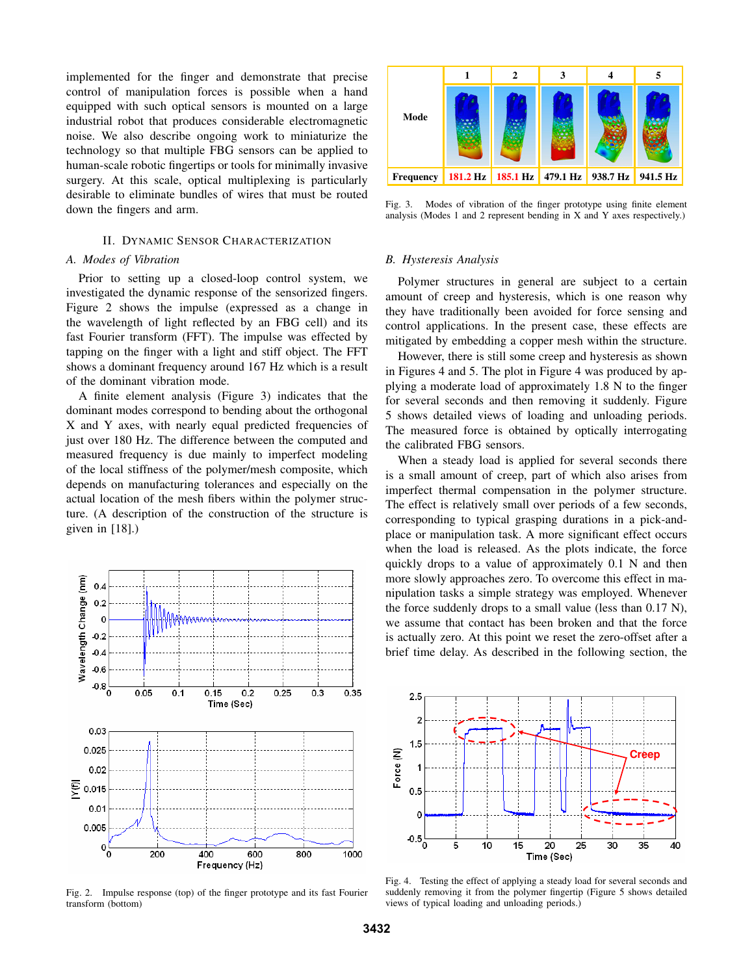implemented for the finger and demonstrate that precise control of manipulation forces is possible when a hand equipped with such optical sensors is mounted on a large industrial robot that produces considerable electromagnetic noise. We also describe ongoing work to miniaturize the technology so that multiple FBG sensors can be applied to human-scale robotic fingertips or tools for minimally invasive surgery. At this scale, optical multiplexing is particularly desirable to eliminate bundles of wires that must be routed down the fingers and arm.

# II. DYNAMIC SENSOR CHARACTERIZATION

## *A. Modes of Vibration*

Prior to setting up a closed-loop control system, we investigated the dynamic response of the sensorized fingers. Figure 2 shows the impulse (expressed as a change in the wavelength of light reflected by an FBG cell) and its fast Fourier transform (FFT). The impulse was effected by tapping on the finger with a light and stiff object. The FFT shows a dominant frequency around 167 Hz which is a result of the dominant vibration mode.

A finite element analysis (Figure 3) indicates that the dominant modes correspond to bending about the orthogonal X and Y axes, with nearly equal predicted frequencies of just over 180 Hz. The difference between the computed and measured frequency is due mainly to imperfect modeling of the local stiffness of the polymer/mesh composite, which depends on manufacturing tolerances and especially on the actual location of the mesh fibers within the polymer structure. (A description of the construction of the structure is given in [18].)



Fig. 2. Impulse response (top) of the finger prototype and its fast Fourier transform (bottom)



Fig. 3. Modes of vibration of the finger prototype using finite element analysis (Modes 1 and 2 represent bending in X and Y axes respectively.)

### *B. Hysteresis Analysis*

Polymer structures in general are subject to a certain amount of creep and hysteresis, which is one reason why they have traditionally been avoided for force sensing and control applications. In the present case, these effects are mitigated by embedding a copper mesh within the structure.

However, there is still some creep and hysteresis as shown in Figures 4 and 5. The plot in Figure 4 was produced by applying a moderate load of approximately 1.8 N to the finger for several seconds and then removing it suddenly. Figure 5 shows detailed views of loading and unloading periods. The measured force is obtained by optically interrogating the calibrated FBG sensors.

When a steady load is applied for several seconds there is a small amount of creep, part of which also arises from imperfect thermal compensation in the polymer structure. The effect is relatively small over periods of a few seconds, corresponding to typical grasping durations in a pick-andplace or manipulation task. A more significant effect occurs when the load is released. As the plots indicate, the force quickly drops to a value of approximately 0.1 N and then more slowly approaches zero. To overcome this effect in manipulation tasks a simple strategy was employed. Whenever the force suddenly drops to a small value (less than 0.17 N), we assume that contact has been broken and that the force is actually zero. At this point we reset the zero-offset after a brief time delay. As described in the following section, the



Fig. 4. Testing the effect of applying a steady load for several seconds and suddenly removing it from the polymer fingertip (Figure 5 shows detailed views of typical loading and unloading periods.)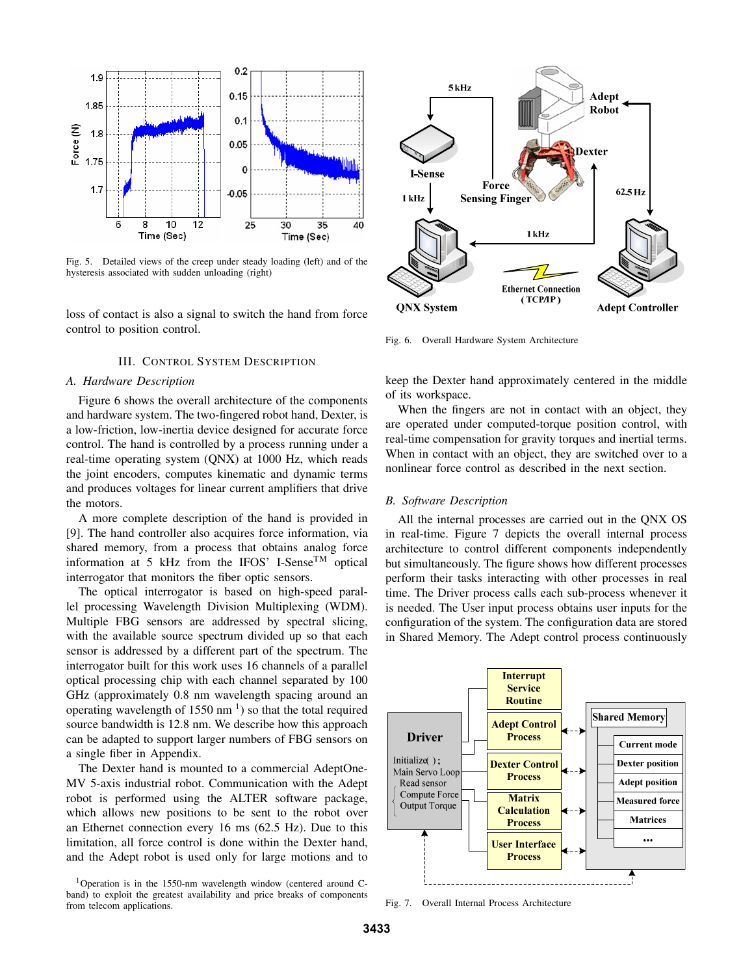

Fig. 5. Detailed views of the creep under steady loading (left) and of the hysteresis associated with sudden unloading (right)

loss of contact is also a signal to switch the hand from force control to position control.

# III. CONTROL SYSTEM DESCRIPTION

# *A. Hardware Description*

Figure 6 shows the overall architecture of the components and hardware system. The two-fingered robot hand, Dexter, is a low-friction, low-inertia device designed for accurate force control. The hand is controlled by a process running under a real-time operating system (QNX) at 1000 Hz, which reads the joint encoders, computes kinematic and dynamic terms and produces voltages for linear current amplifiers that drive the motors.

A more complete description of the hand is provided in [9]. The hand controller also acquires force information, via shared memory, from a process that obtains analog force information at 5 kHz from the IFOS' I-Sense<sup>TM</sup> optical interrogator that monitors the fiber optic sensors.

The optical interrogator is based on high-speed parallel processing Wavelength Division Multiplexing (WDM). Multiple FBG sensors are addressed by spectral slicing, with the available source spectrum divided up so that each sensor is addressed by a different part of the spectrum. The interrogator built for this work uses 16 channels of a parallel optical processing chip with each channel separated by 100 GHz (approximately 0.8 nm wavelength spacing around an operating wavelength of  $1550$  nm<sup>1</sup>) so that the total required source bandwidth is 12.8 nm. We describe how this approach can be adapted to support larger numbers of FBG sensors on a single fiber in Appendix.

The Dexter hand is mounted to a commercial AdeptOne-MV 5-axis industrial robot. Communication with the Adept robot is performed using the ALTER software package, which allows new positions to be sent to the robot over an Ethernet connection every 16 ms (62.5 Hz). Due to this limitation, all force control is done within the Dexter hand, and the Adept robot is used only for large motions and to

 $1$ Operation is in the 1550-nm wavelength window (centered around Cband) to exploit the greatest availability and price breaks of components from telecom applications.



Fig. 6. Overall Hardware System Architecture

keep the Dexter hand approximately centered in the middle of its workspace.

When the fingers are not in contact with an object, they are operated under computed-torque position control, with real-time compensation for gravity torques and inertial terms. When in contact with an object, they are switched over to a nonlinear force control as described in the next section.

## *B. Software Description*

All the internal processes are carried out in the QNX OS in real-time. Figure 7 depicts the overall internal process architecture to control different components independently but simultaneously. The figure shows how different processes perform their tasks interacting with other processes in real time. The Driver process calls each sub-process whenever it is needed. The User input process obtains user inputs for the configuration of the system. The configuration data are stored in Shared Memory. The Adept control process continuously



Fig. 7. Overall Internal Process Architecture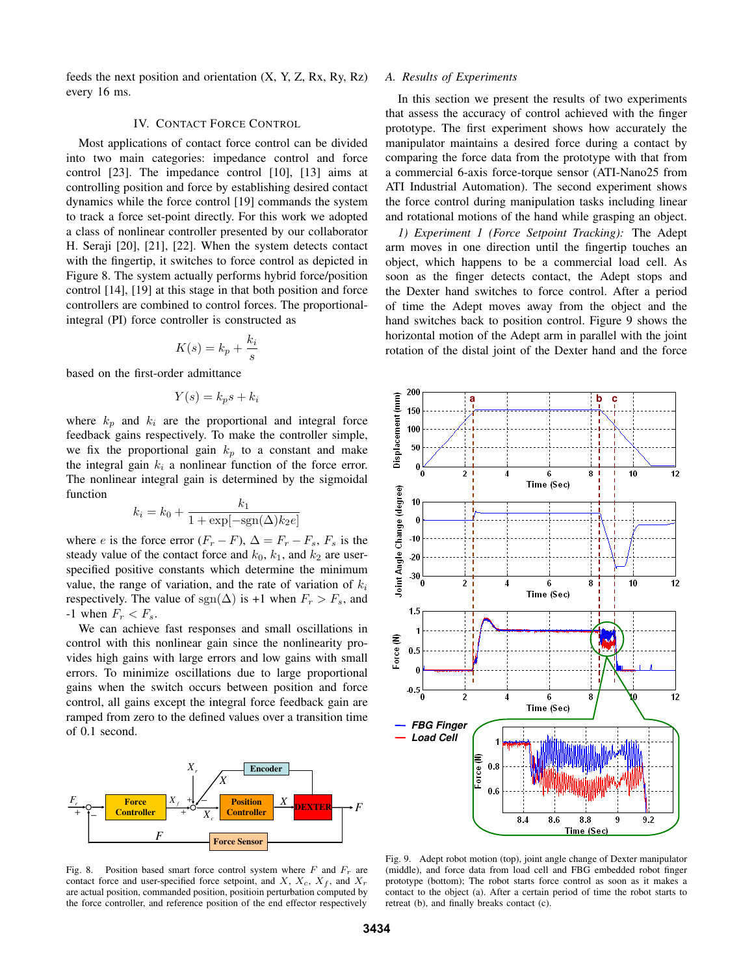feeds the next position and orientation (X, Y, Z, Rx, Ry, Rz) every 16 ms.

## IV. CONTACT FORCE CONTROL

Most applications of contact force control can be divided into two main categories: impedance control and force control [23]. The impedance control [10], [13] aims at controlling position and force by establishing desired contact dynamics while the force control [19] commands the system to track a force set-point directly. For this work we adopted a class of nonlinear controller presented by our collaborator H. Seraji [20], [21], [22]. When the system detects contact with the fingertip, it switches to force control as depicted in Figure 8. The system actually performs hybrid force/position control [14], [19] at this stage in that both position and force controllers are combined to control forces. The proportionalintegral (PI) force controller is constructed as

$$
K(s) = k_p + \frac{k_i}{s}
$$

based on the first-order admittance

$$
Y(s) = k_p s + k_i
$$

where  $k_p$  and  $k_i$  are the proportional and integral force feedback gains respectively. To make the controller simple, we fix the proportional gain  $k_p$  to a constant and make the integral gain  $k_i$  a nonlinear function of the force error. The nonlinear integral gain is determined by the sigmoidal function

$$
k_i = k_0 + \frac{k_1}{1 + \exp[-\text{sgn}(\Delta)k_2e]}
$$

where *e* is the force error  $(F_r - F)$ ,  $\Delta = F_r - F_s$ ,  $F_s$  is the steady value of the contact force and  $k_0$ ,  $k_1$ , and  $k_2$  are userspecified positive constants which determine the minimum value, the range of variation, and the rate of variation of  $k_i$ respectively. The value of sgn( $\Delta$ ) is +1 when  $F_r > F_s$ , and  $-1$  when  $F_r < F_s$ .

We can achieve fast responses and small oscillations in control with this nonlinear gain since the nonlinearity provides high gains with large errors and low gains with small errors. To minimize oscillations due to large proportional gains when the switch occurs between position and force control, all gains except the integral force feedback gain are ramped from zero to the defined values over a transition time of 0.1 second.



Fig. 8. Position based smart force control system where  $F$  and  $F_r$  are contact force and user-specified force setpoint, and  $X$ ,  $X_c$ ,  $X_f$ , and  $X_r$ are actual position, commanded position, positioin perturbation computed by the force controller, and reference position of the end effector respectively

## *A. Results of Experiments*

In this section we present the results of two experiments that assess the accuracy of control achieved with the finger prototype. The first experiment shows how accurately the manipulator maintains a desired force during a contact by comparing the force data from the prototype with that from a commercial 6-axis force-torque sensor (ATI-Nano25 from ATI Industrial Automation). The second experiment shows the force control during manipulation tasks including linear and rotational motions of the hand while grasping an object.

*1) Experiment 1 (Force Setpoint Tracking):* The Adept arm moves in one direction until the fingertip touches an object, which happens to be a commercial load cell. As soon as the finger detects contact, the Adept stops and the Dexter hand switches to force control. After a period of time the Adept moves away from the object and the hand switches back to position control. Figure 9 shows the horizontal motion of the Adept arm in parallel with the joint rotation of the distal joint of the Dexter hand and the force



Fig. 9. Adept robot motion (top), joint angle change of Dexter manipulator (middle), and force data from load cell and FBG embedded robot finger prototype (bottom); The robot starts force control as soon as it makes a contact to the object (a). After a certain period of time the robot starts to retreat (b), and finally breaks contact (c).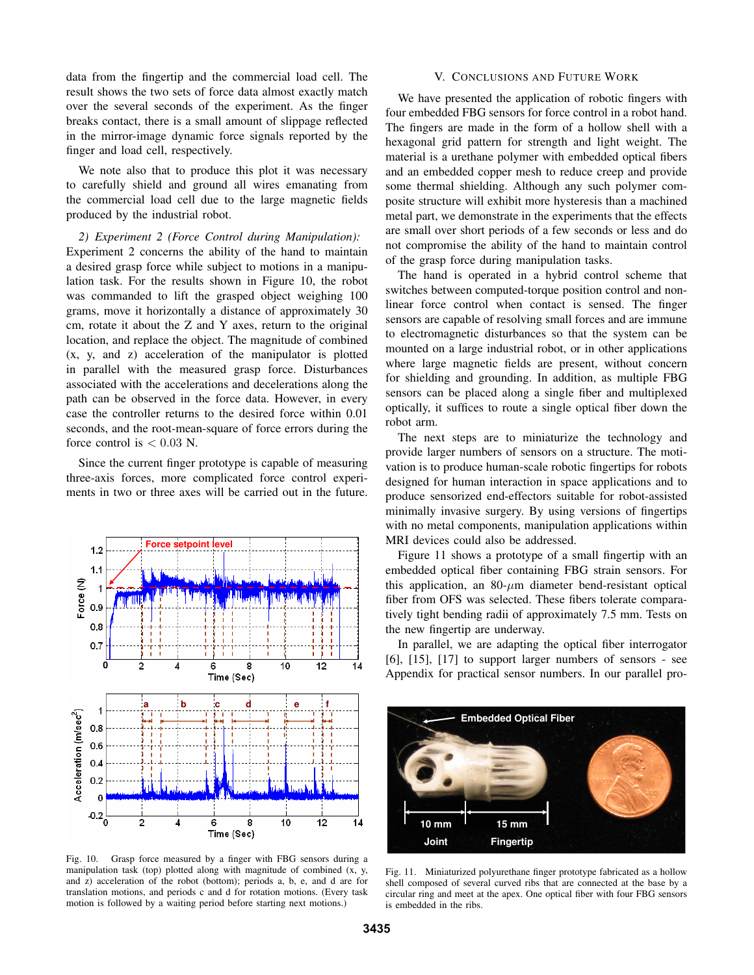data from the fingertip and the commercial load cell. The result shows the two sets of force data almost exactly match over the several seconds of the experiment. As the finger breaks contact, there is a small amount of slippage reflected in the mirror-image dynamic force signals reported by the finger and load cell, respectively.

We note also that to produce this plot it was necessary to carefully shield and ground all wires emanating from the commercial load cell due to the large magnetic fields produced by the industrial robot.

*2) Experiment 2 (Force Control during Manipulation):*

Experiment 2 concerns the ability of the hand to maintain a desired grasp force while subject to motions in a manipulation task. For the results shown in Figure 10, the robot was commanded to lift the grasped object weighing 100 grams, move it horizontally a distance of approximately 30 cm, rotate it about the Z and Y axes, return to the original location, and replace the object. The magnitude of combined (x, y, and z) acceleration of the manipulator is plotted in parallel with the measured grasp force. Disturbances associated with the accelerations and decelerations along the path can be observed in the force data. However, in every case the controller returns to the desired force within 0.01 seconds, and the root-mean-square of force errors during the force control is  $< 0.03$  N.

Since the current finger prototype is capable of measuring three-axis forces, more complicated force control experiments in two or three axes will be carried out in the future.



Fig. 10. Grasp force measured by a finger with FBG sensors during a manipulation task (top) plotted along with magnitude of combined (x, y, and z) acceleration of the robot (bottom); periods a, b, e, and d are for translation motions, and periods c and d for rotation motions. (Every task motion is followed by a waiting period before starting next motions.)

## V. CONCLUSIONS AND FUTURE WORK

We have presented the application of robotic fingers with four embedded FBG sensors for force control in a robot hand. The fingers are made in the form of a hollow shell with a hexagonal grid pattern for strength and light weight. The material is a urethane polymer with embedded optical fibers and an embedded copper mesh to reduce creep and provide some thermal shielding. Although any such polymer composite structure will exhibit more hysteresis than a machined metal part, we demonstrate in the experiments that the effects are small over short periods of a few seconds or less and do not compromise the ability of the hand to maintain control of the grasp force during manipulation tasks.

The hand is operated in a hybrid control scheme that switches between computed-torque position control and nonlinear force control when contact is sensed. The finger sensors are capable of resolving small forces and are immune to electromagnetic disturbances so that the system can be mounted on a large industrial robot, or in other applications where large magnetic fields are present, without concern for shielding and grounding. In addition, as multiple FBG sensors can be placed along a single fiber and multiplexed optically, it suffices to route a single optical fiber down the robot arm.

The next steps are to miniaturize the technology and provide larger numbers of sensors on a structure. The motivation is to produce human-scale robotic fingertips for robots designed for human interaction in space applications and to produce sensorized end-effectors suitable for robot-assisted minimally invasive surgery. By using versions of fingertips with no metal components, manipulation applications within MRI devices could also be addressed.

Figure 11 shows a prototype of a small fingertip with an embedded optical fiber containing FBG strain sensors. For this application, an  $80-\mu m$  diameter bend-resistant optical fiber from OFS was selected. These fibers tolerate comparatively tight bending radii of approximately 7.5 mm. Tests on the new fingertip are underway.

In parallel, we are adapting the optical fiber interrogator [6], [15], [17] to support larger numbers of sensors - see Appendix for practical sensor numbers. In our parallel pro-



Fig. 11. Miniaturized polyurethane finger prototype fabricated as a hollow shell composed of several curved ribs that are connected at the base by a circular ring and meet at the apex. One optical fiber with four FBG sensors is embedded in the ribs.